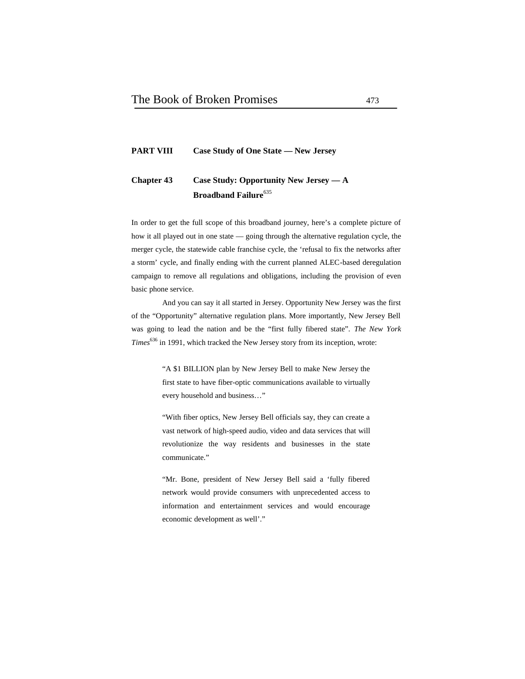## **PART VIII Case Study of One State — New Jersey**

# **Chapter 43 Case Study: Opportunity New Jersey — A Broadband Failure**<sup>635</sup>

In order to get the full scope of this broadband journey, here's a complete picture of how it all played out in one state — going through the alternative regulation cycle, the merger cycle, the statewide cable franchise cycle, the 'refusal to fix the networks after a storm' cycle, and finally ending with the current planned ALEC-based deregulation campaign to remove all regulations and obligations, including the provision of even basic phone service.

And you can say it all started in Jersey. Opportunity New Jersey was the first of the "Opportunity" alternative regulation plans. More importantly, New Jersey Bell was going to lead the nation and be the "first fully fibered state". *The New York Times*<sup>636</sup> in 1991, which tracked the New Jersey story from its inception, wrote:

> "A \$1 BILLION plan by New Jersey Bell to make New Jersey the first state to have fiber-optic communications available to virtually every household and business…"

> "With fiber optics, New Jersey Bell officials say, they can create a vast network of high-speed audio, video and data services that will revolutionize the way residents and businesses in the state communicate."

> "Mr. Bone, president of New Jersey Bell said a 'fully fibered network would provide consumers with unprecedented access to information and entertainment services and would encourage economic development as well'."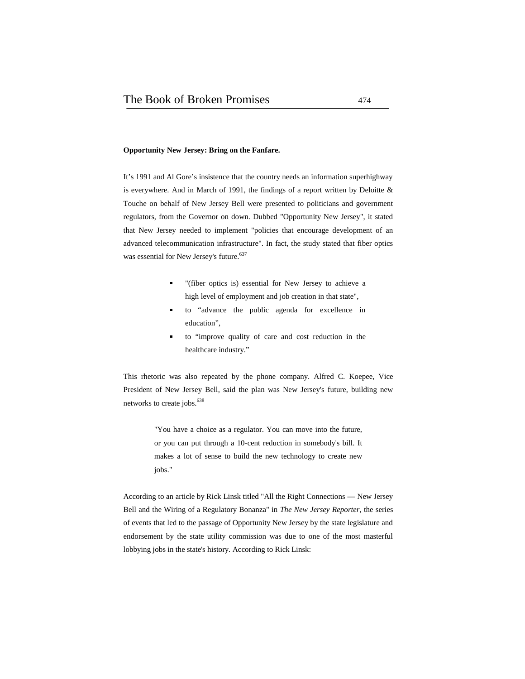#### **Opportunity New Jersey: Bring on the Fanfare.**

It's 1991 and Al Gore's insistence that the country needs an information superhighway is everywhere. And in March of 1991, the findings of a report written by Deloitte & Touche on behalf of New Jersey Bell were presented to politicians and government regulators, from the Governor on down. Dubbed "Opportunity New Jersey", it stated that New Jersey needed to implement "policies that encourage development of an advanced telecommunication infrastructure". In fact, the study stated that fiber optics was essential for New Jersey's future.<sup>637</sup>

- "(fiber optics is) essential for New Jersey to achieve a high level of employment and job creation in that state",
- to "advance the public agenda for excellence in  $\blacksquare$ education",
- to "improve quality of care and cost reduction in the healthcare industry."

This rhetoric was also repeated by the phone company. Alfred C. Koepee, Vice President of New Jersey Bell, said the plan was New Jersey's future, building new networks to create jobs.<sup>638</sup>

> "You have a choice as a regulator. You can move into the future, or you can put through a 10-cent reduction in somebody's bill. It makes a lot of sense to build the new technology to create new jobs."

According to an article by Rick Linsk titled "All the Right Connections — New Jersey Bell and the Wiring of a Regulatory Bonanza" in *The New Jersey Reporter*, the series of events that led to the passage of Opportunity New Jersey by the state legislature and endorsement by the state utility commission was due to one of the most masterful lobbying jobs in the state's history. According to Rick Linsk: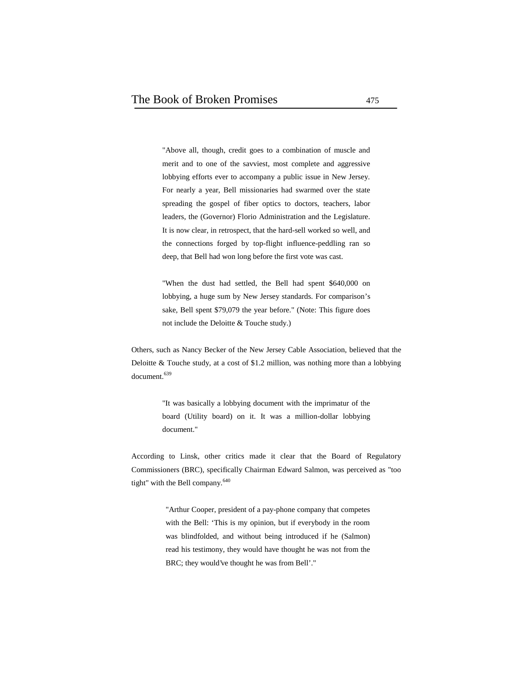"Above all, though, credit goes to a combination of muscle and merit and to one of the savviest, most complete and aggressive lobbying efforts ever to accompany a public issue in New Jersey. For nearly a year, Bell missionaries had swarmed over the state spreading the gospel of fiber optics to doctors, teachers, labor leaders, the (Governor) Florio Administration and the Legislature. It is now clear, in retrospect, that the hard-sell worked so well, and the connections forged by top-flight influence-peddling ran so deep, that Bell had won long before the first vote was cast.

"When the dust had settled, the Bell had spent \$640,000 on lobbying, a huge sum by New Jersey standards. For comparison's sake, Bell spent \$79,079 the year before." (Note: This figure does not include the Deloitte & Touche study.)

Others, such as Nancy Becker of the New Jersey Cable Association, believed that the Deloitte & Touche study, at a cost of \$1.2 million, was nothing more than a lobbying document.<sup>639</sup>

> "It was basically a lobbying document with the imprimatur of the board (Utility board) on it. It was a million-dollar lobbying document."

According to Linsk, other critics made it clear that the Board of Regulatory Commissioners (BRC), specifically Chairman Edward Salmon, was perceived as "too tight" with the Bell company.<sup>640</sup>

> "Arthur Cooper, president of a pay-phone company that competes with the Bell: 'This is my opinion, but if everybody in the room was blindfolded, and without being introduced if he (Salmon) read his testimony, they would have thought he was not from the BRC; they would've thought he was from Bell'."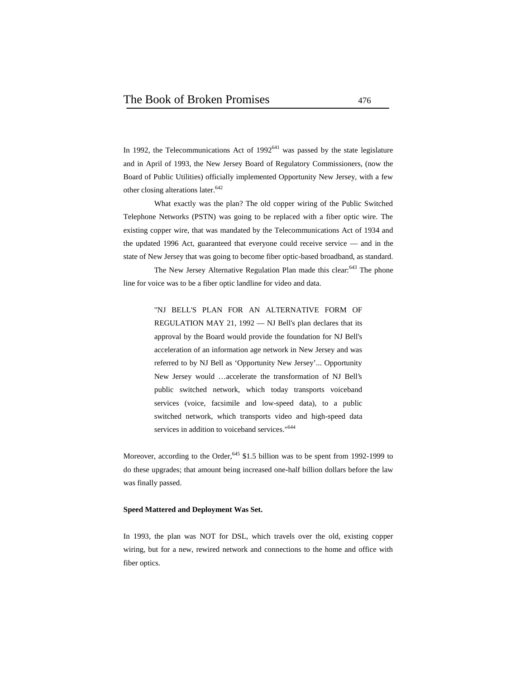In 1992, the Telecommunications Act of  $1992^{641}$  was passed by the state legislature and in April of 1993, the New Jersey Board of Regulatory Commissioners, (now the Board of Public Utilities) officially implemented Opportunity New Jersey, with a few other closing alterations later.<sup>642</sup>

What exactly was the plan? The old copper wiring of the Public Switched Telephone Networks (PSTN) was going to be replaced with a fiber optic wire. The existing copper wire, that was mandated by the Telecommunications Act of 1934 and the updated 1996 Act, guaranteed that everyone could receive service — and in the state of New Jersey that was going to become fiber optic-based broadband, as standard.

The New Jersey Alternative Regulation Plan made this clear:<sup>643</sup> The phone line for voice was to be a fiber optic landline for video and data.

> "NJ BELL'S PLAN FOR AN ALTERNATIVE FORM OF REGULATION MAY 21, 1992 — NJ Bell's plan declares that its approval by the Board would provide the foundation for NJ Bell's acceleration of an information age network in New Jersey and was referred to by NJ Bell as 'Opportunity New Jersey'... Opportunity New Jersey would …accelerate the transformation of NJ Bell's public switched network, which today transports voiceband services (voice, facsimile and low-speed data), to a public switched network, which transports video and high-speed data services in addition to voiceband services."<sup>644</sup>

Moreover, according to the Order,<sup>645</sup> \$1.5 billion was to be spent from 1992-1999 to do these upgrades; that amount being increased one-half billion dollars before the law was finally passed.

#### **Speed Mattered and Deployment Was Set.**

In 1993, the plan was NOT for DSL, which travels over the old, existing copper wiring, but for a new, rewired network and connections to the home and office with fiber optics.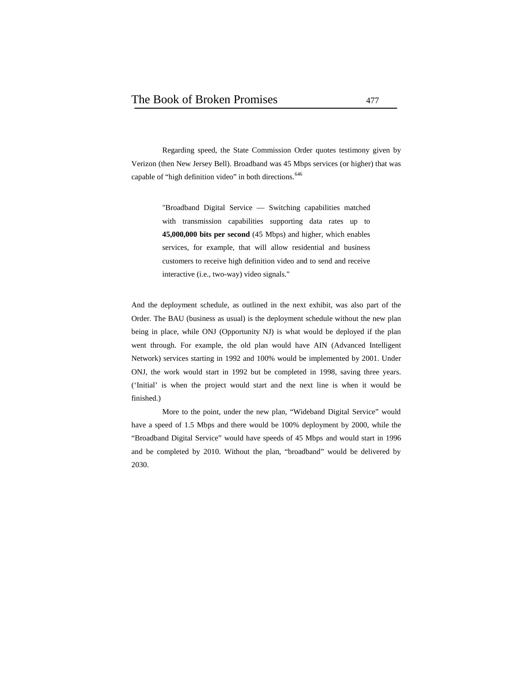Regarding speed, the State Commission Order quotes testimony given by Verizon (then New Jersey Bell). Broadband was 45 Mbps services (or higher) that was capable of "high definition video" in both directions.<sup>646</sup>

> "Broadband Digital Service — Switching capabilities matched with transmission capabilities supporting data rates up to **45,000,000 bits per second** (45 Mbps) and higher, which enables services, for example, that will allow residential and business customers to receive high definition video and to send and receive interactive (i.e., two-way) video signals."

And the deployment schedule, as outlined in the next exhibit, was also part of the Order. The BAU (business as usual) is the deployment schedule without the new plan being in place, while ONJ (Opportunity NJ) is what would be deployed if the plan went through. For example, the old plan would have AIN (Advanced Intelligent Network) services starting in 1992 and 100% would be implemented by 2001. Under ONJ, the work would start in 1992 but be completed in 1998, saving three years. ('Initial' is when the project would start and the next line is when it would be finished.)

More to the point, under the new plan, "Wideband Digital Service" would have a speed of 1.5 Mbps and there would be 100% deployment by 2000, while the "Broadband Digital Service" would have speeds of 45 Mbps and would start in 1996 and be completed by 2010. Without the plan, "broadband" would be delivered by 2030.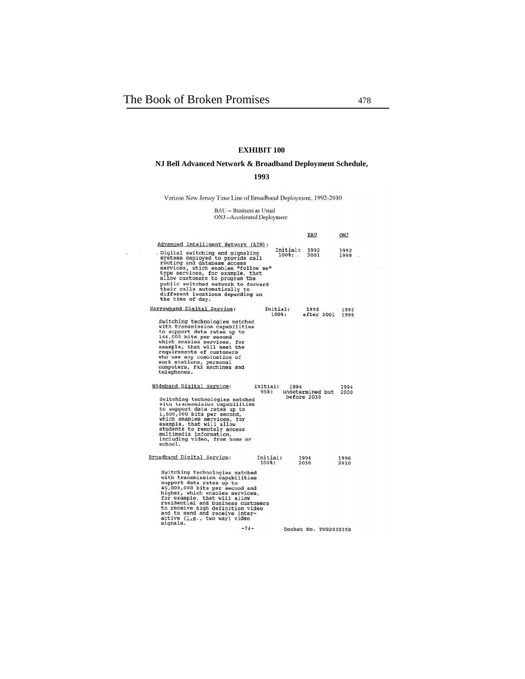$\sim$   $\sim$ 

## **EXHIBIT 100**

## **NJ Bell Advanced Network & Broadband Deployment Schedule,**

## **1993**

Verizon New Jersey Time Line of Broadband Deployment, 1992-2010

# BAU -- Business as Usual<br>ONJ --Accelerated Deployment

|                                                                                                                                                                                                                                                                                                                                                                     |                   |                                   | BAU                             | ONJ                   |  |
|---------------------------------------------------------------------------------------------------------------------------------------------------------------------------------------------------------------------------------------------------------------------------------------------------------------------------------------------------------------------|-------------------|-----------------------------------|---------------------------------|-----------------------|--|
| Advanced Intelligent Network (AIN):                                                                                                                                                                                                                                                                                                                                 |                   |                                   |                                 |                       |  |
| Digital switching and signaling<br>systems deployed to provide call<br>routing and database access<br>services, which enables "follow me"<br>type services, for example, that<br>allow customers to program the<br>public switched network to forward<br>their calls automatically to<br>different locations depending on<br>the time of day.                       |                   | Initial:<br>$100$ $\frac{3}{2}$ : | 1992<br>2001                    | 1992<br>$1998 -$      |  |
| Narrowband Digital Service:                                                                                                                                                                                                                                                                                                                                         |                   | Initial:<br>$100$ $:$             | 1992<br>after 2001              | 1992<br>1998          |  |
| Switching technologies matched<br>with transmission capabilities<br>to support data rates up to<br>144,000 bits per second<br>which enables services, for<br>example, that will meet the<br>requirements of customers<br>who use any combination of<br>work stations, personal<br>computers, FAX machines and<br>telephones.                                        |                   |                                   |                                 |                       |  |
| Wideband Digital Service:<br>Switching technologies matched<br>with transmsision capabilities<br>to support data rates up to<br>1,500,000 bits per second,<br>which enables services, for<br>example, that will allow<br>students to remotely access<br>multimedia information,<br>including video, from home or<br>school.                                         | Initial:<br>95%:  | 1994                              | undetermined but<br>before 2030 | 1994<br>2000          |  |
| Broadband Digital Service:                                                                                                                                                                                                                                                                                                                                          | Initial:<br>100%: |                                   | 1996<br>2030                    | 1996<br>2010          |  |
| Switching technologies matched<br>with transmission capabilities<br>support data rates up to<br>45,000,000 bits per second and<br>higher, which enables services,<br>for example, that will allow<br>residential and business customers<br>to receive high definition video<br>and to send and receive inter-<br>active (i.e., two way) video<br>signals.<br>$-74-$ |                   |                                   |                                 | Docket No. T092030358 |  |
|                                                                                                                                                                                                                                                                                                                                                                     |                   |                                   |                                 |                       |  |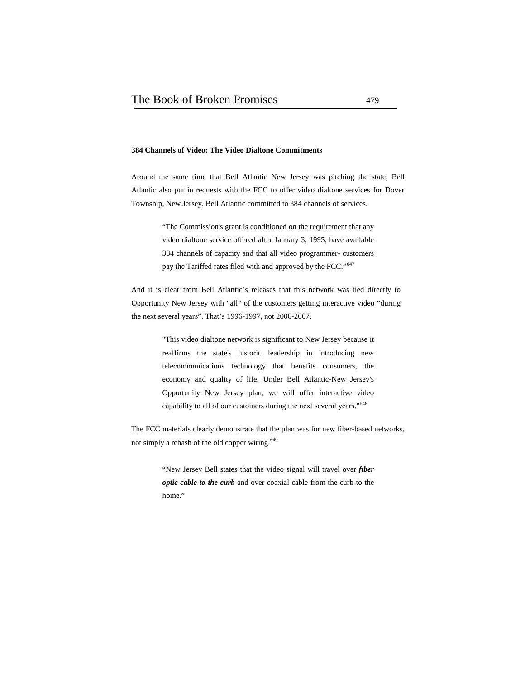#### **384 Channels of Video: The Video Dialtone Commitments**

Around the same time that Bell Atlantic New Jersey was pitching the state, Bell Atlantic also put in requests with the FCC to offer video dialtone services for Dover Township, New Jersey. Bell Atlantic committed to 384 channels of services.

> "The Commission's grant is conditioned on the requirement that any video dialtone service offered after January 3, 1995, have available 384 channels of capacity and that all video programmer- customers pay the Tariffed rates filed with and approved by the FCC."<sup>647</sup>

And it is clear from Bell Atlantic's releases that this network was tied directly to Opportunity New Jersey with "all" of the customers getting interactive video "during the next several years". That's 1996-1997, not 2006-2007.

> "This video dialtone network is significant to New Jersey because it reaffirms the state's historic leadership in introducing new telecommunications technology that benefits consumers, the economy and quality of life. Under Bell Atlantic-New Jersey's Opportunity New Jersey plan, we will offer interactive video capability to all of our customers during the next several years."<sup>648</sup>

The FCC materials clearly demonstrate that the plan was for new fiber-based networks, not simply a rehash of the old copper wiring.<sup>649</sup>

> "New Jersey Bell states that the video signal will travel over *fiber optic cable to the curb* and over coaxial cable from the curb to the home."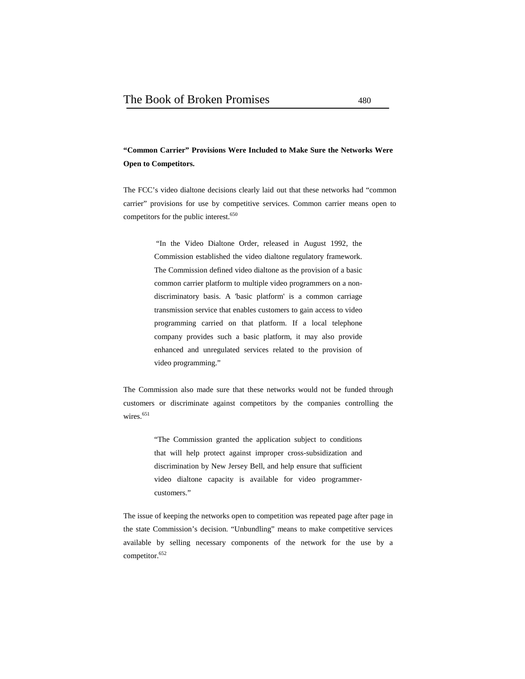# **"Common Carrier" Provisions Were Included to Make Sure the Networks Were Open to Competitors.**

The FCC's video dialtone decisions clearly laid out that these networks had "common carrier" provisions for use by competitive services. Common carrier means open to competitors for the public interest.<sup>650</sup>

> "In the Video Dialtone Order, released in August 1992, the Commission established the video dialtone regulatory framework. The Commission defined video dialtone as the provision of a basic common carrier platform to multiple video programmers on a non discriminatory basis. A 'basic platform' is a common carriage transmission service that enables customers to gain access to video programming carried on that platform. If a local telephone company provides such a basic platform, it may also provide enhanced and unregulated services related to the provision of video programming."

The Commission also made sure that these networks would not be funded through customers or discriminate against competitors by the companies controlling the wires.<sup>651</sup>

> "The Commission granted the application subject to conditions that will help protect against improper cross-subsidization and discrimination by New Jersey Bell, and help ensure that sufficient video dialtone capacity is available for video programmer customers."

The issue of keeping the networks open to competition was repeated page after page in the state Commission's decision. "Unbundling" means to make competitive services available by selling necessary components of the network for the use by a competitor.<sup>652</sup>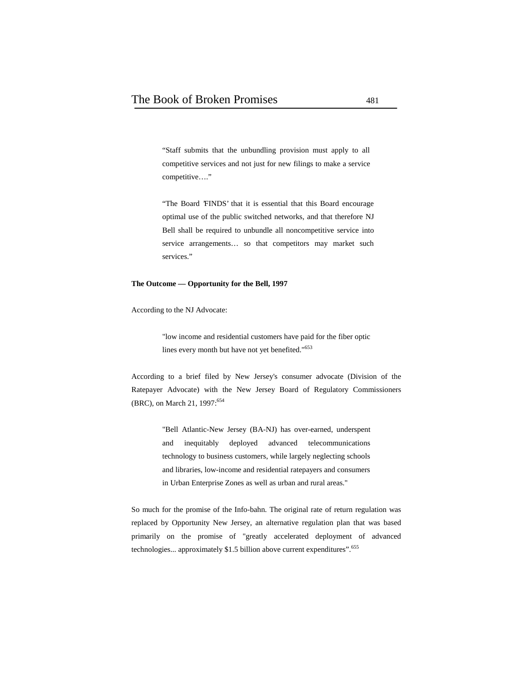"Staff submits that the unbundling provision must apply to all competitive services and not just for new filings to make a service competitive…."

"The Board 'FINDS' that it is essential that this Board encourage optimal use of the public switched networks, and that therefore NJ Bell shall be required to unbundle all noncompetitive service into service arrangements… so that competitors may market such services."

#### **The Outcome — Opportunity for the Bell, 1997**

According to the NJ Advocate:

"low income and residential customers have paid for the fiber optic lines every month but have not yet benefited."<sup>653</sup>

According to a brief filed by New Jersey's consumer advocate (Division of the Ratepayer Advocate) with the New Jersey Board of Regulatory Commissioners (BRC), on March 21, 1997:<sup>654</sup>

> "Bell Atlantic-New Jersey (BA-NJ) has over-earned, underspent and inequitably deployed advanced telecommunications technology to business customers, while largely neglecting schools and libraries, low-income and residential ratepayers and consumers in Urban Enterprise Zones as well as urban and rural areas."

So much for the promise of the Info-bahn. The original rate of return regulation was replaced by Opportunity New Jersey, an alternative regulation plan that was based primarily on the promise of "greatly accelerated deployment of advanced technologies... approximately \$1.5 billion above current expenditures".<sup>655</sup>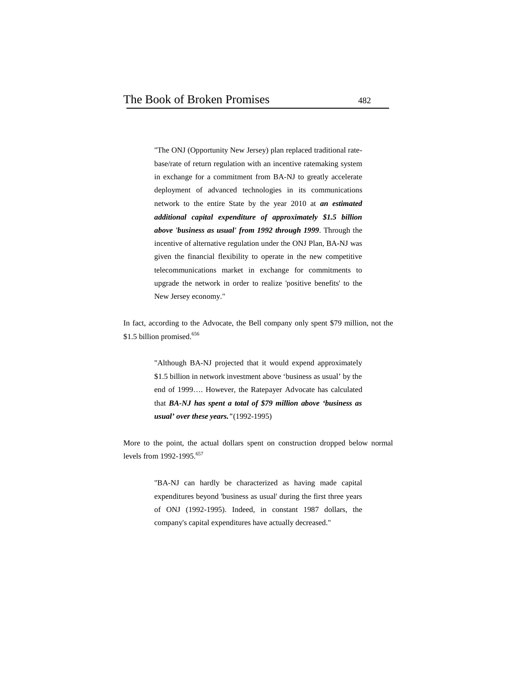"The ONJ (Opportunity New Jersey) plan replaced traditional rate base/rate of return regulation with an incentive ratemaking system in exchange for a commitment from BA-NJ to greatly accelerate deployment of advanced technologies in its communications network to the entire State by the year 2010 at *an estimated additional capital expenditure of approximately \$1.5 billion above 'business as usual' from 1992 through 1999*. Through the incentive of alternative regulation under the ONJ Plan, BA-NJ was given the financial flexibility to operate in the new competitive telecommunications market in exchange for commitments to upgrade the network in order to realize 'positive benefits' to the New Jersey economy."

In fact, according to the Advocate, the Bell company only spent \$79 million, not the \$1.5 billion promised.<sup>656</sup>

> "Although BA-NJ projected that it would expend approximately \$1.5 billion in network investment above 'business as usual' by the end of 1999…. However, the Ratepayer Advocate has calculated that *BA-NJ has spent a total of \$79 million above 'business as usual' over these years."*(1992-1995)

More to the point, the actual dollars spent on construction dropped below normal levels from 1992-1995.<sup>657</sup>

> "BA-NJ can hardly be characterized as having made capital expenditures beyond 'business as usual' during the first three years of ONJ (1992-1995). Indeed, in constant 1987 dollars, the company's capital expenditures have actually decreased."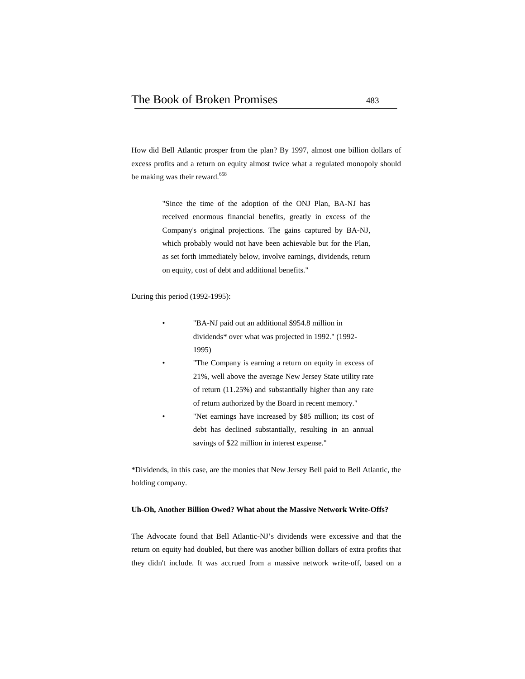How did Bell Atlantic prosper from the plan? By 1997, almost one billion dollars of excess profits and a return on equity almost twice what a regulated monopoly should be making was their reward.<sup>658</sup>

> "Since the time of the adoption of the ONJ Plan, BA-NJ has received enormous financial benefits, greatly in excess of the Company's original projections. The gains captured by BA-NJ, which probably would not have been achievable but for the Plan, as set forth immediately below, involve earnings, dividends, return on equity, cost of debt and additional benefits."

During this period (1992-1995):

- "BA-NJ paid out an additional \$954.8 million in dividends\* over what was projected in 1992." (1992- 1995)
	- "The Company is earning a return on equity in excess of 21%, well above the average New Jersey State utility rate of return (11.25%) and substantially higher than any rate of return authorized by the Board in recent memory." "Net earnings have increased by \$85 million; its cost of debt has declined substantially, resulting in an annual

savings of \$22 million in interest expense."

\*Dividends, in this case, are the monies that New Jersey Bell paid to Bell Atlantic, the holding company.

#### **Uh-Oh, Another Billion Owed? What about the Massive Network Write-Offs?**

The Advocate found that Bell Atlantic-NJ's dividends were excessive and that the return on equity had doubled, but there was another billion dollars of extra profits that they didn't include. It was accrued from a massive network write-off, based on a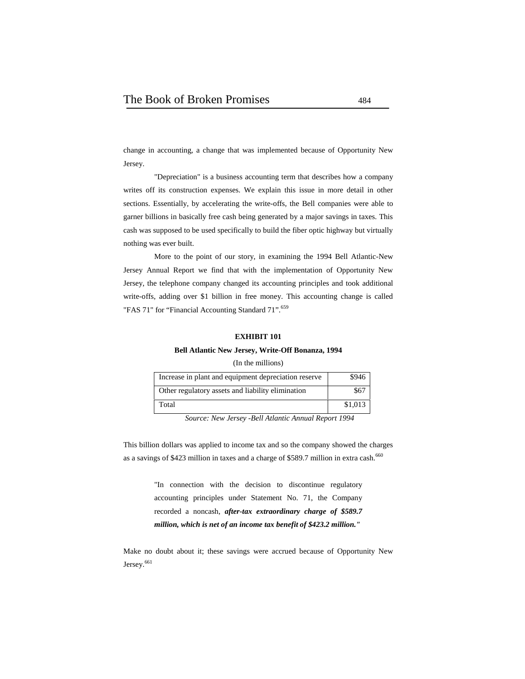change in accounting, a change that was implemented because of Opportunity New Jersey.

"Depreciation" is a business accounting term that describes how a company writes off its construction expenses. We explain this issue in more detail in other sections. Essentially, by accelerating the write-offs, the Bell companies were able to garner billions in basically free cash being generated by a major savings in taxes. This cash was supposed to be used specifically to build the fiber optic highway but virtually nothing was ever built.

More to the point of our story, in examining the 1994 Bell Atlantic-New Jersey Annual Report we find that with the implementation of Opportunity New Jersey, the telephone company changed its accounting principles and took additional write-offs, adding over \$1 billion in free money. This accounting change is called "FAS 71" for "Financial Accounting Standard 71".<sup>659</sup>

#### **EXHIBIT 101**

#### **Bell Atlantic New Jersey, Write-Off Bonanza, 1994**

#### (In the millions)

| Increase in plant and equipment depreciation reserve | \$946   |
|------------------------------------------------------|---------|
| Other regulatory assets and liability elimination    | \$67    |
| Total                                                | \$1,013 |

*Source: New Jersey -Bell Atlantic Annual Report 1994*

This billion dollars was applied to income tax and so the company showed the charges as a savings of \$423 million in taxes and a charge of \$589.7 million in extra cash.<sup>660</sup>

> "In connection with the decision to discontinue regulatory accounting principles under Statement No. 71, the Company recorded a noncash, *after-tax extraordinary charge of \$589.7 million, which is net of an income tax benefit of \$423.2 million."*

Make no doubt about it; these savings were accrued because of Opportunity New Jersey.<sup>661</sup>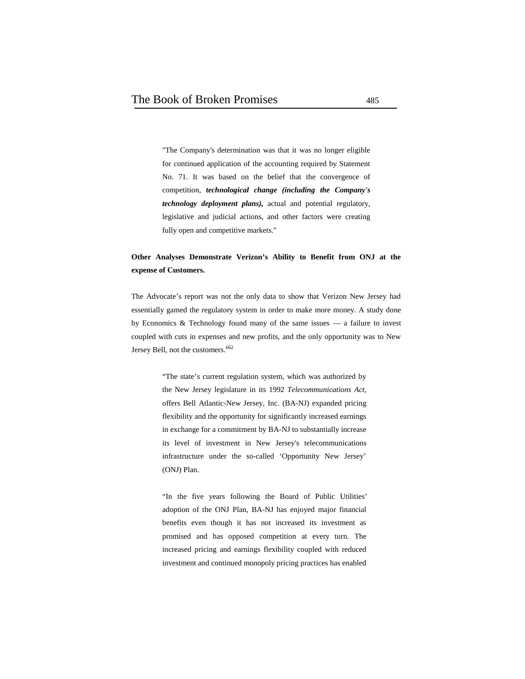"The Company's determination was that it was no longer eligible for continued application of the accounting required by Statement No. 71. It was based on the belief that the convergence of competition, *technological change (including the Company's technology deployment plans),* actual and potential regulatory, legislative and judicial actions, and other factors were creating fully open and competitive markets."

## **Other Analyses Demonstrate Verizon's Ability to Benefit from ONJ at the expense of Customers.**

The Advocate's report was not the only data to show that Verizon New Jersey had essentially gamed the regulatory system in order to make more money. A study done by Economics & Technology found many of the same issues  $-$  a failure to invest coupled with cuts in expenses and new profits, and the only opportunity was to New Jersey Bell, not the customers.<sup>662</sup>

> "The state's current regulation system, which was authorized by the New Jersey legislature in its 1992 *Telecommunications Act*, offers Bell Atlantic-New Jersey, Inc. (BA-NJ) expanded pricing flexibility and the opportunity for significantly increased earnings in exchange for a commitment by BA-NJ to substantially increase its level of investment in New Jersey's telecommunications infrastructure under the so-called 'Opportunity New Jersey' (ONJ) Plan.

> "In the five years following the Board of Public Utilities' adoption of the ONJ Plan, BA-NJ has enjoyed major financial benefits even though it has not increased its investment as promised and has opposed competition at every turn. The increased pricing and earnings flexibility coupled with reduced investment and continued monopoly pricing practices has enabled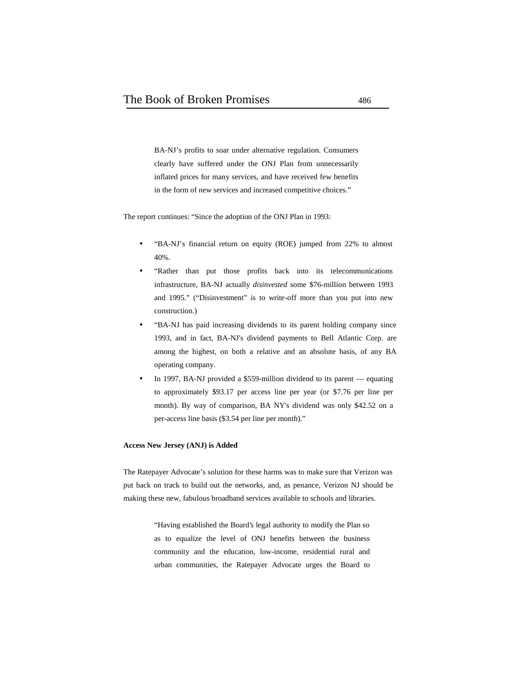BA-NJ's profits to soar under alternative regulation. Consumers clearly have suffered under the ONJ Plan from unnecessarily inflated prices for many services, and have received few benefits in the form of new services and increased competitive choices."

The report continues: "Since the adoption of the ONJ Plan in 1993:

- "BA-NJ's financial return on equity (ROE) jumped from 22% to almost 40%.
- "Rather than put those profits back into its telecommunications infrastructure, BA-NJ actually *disinvested* some \$76-million between 1993 and 1995." ("Disinvestment" is to write-off more than you put into new construction.)
- "BA-NJ has paid increasing dividends to its parent holding company since 1993, and in fact, BA-NJ's dividend payments to Bell Atlantic Corp. are among the highest, on both a relative and an absolute basis, of any BA operating company.
- In 1997, BA-NJ provided a \$559-million dividend to its parent equating to approximately \$93.17 per access line per year (or \$7.76 per line per month). By way of comparison, BA NY's dividend was only \$42.52 on a per-access line basis (\$3.54 per line per month)."

#### **Access New Jersey (ANJ) is Added**

The Ratepayer Advocate's solution for these harms was to make sure that Verizon was put back on track to build out the networks, and, as penance, Verizon NJ should be making these new, fabulous broadband services available to schools and libraries.

> "Having established the Board's legal authority to modify the Plan so as to equalize the level of ONJ benefits between the business community and the education, low-income, residential rural and urban communities, the Ratepayer Advocate urges the Board to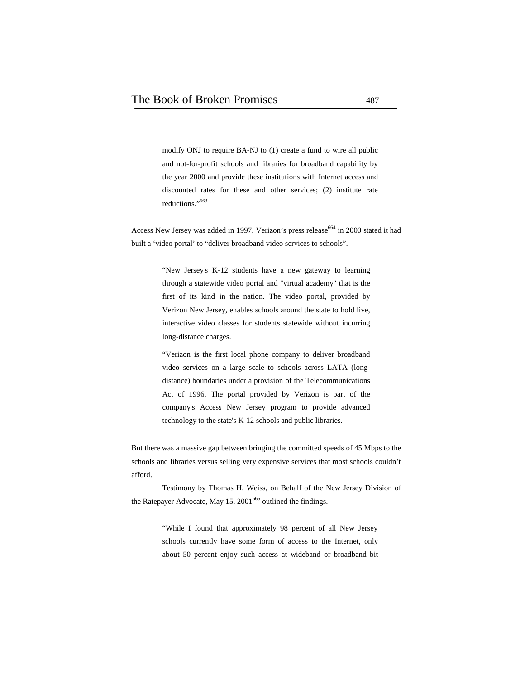modify ONJ to require BA-NJ to (1) create a fund to wire all public and not-for-profit schools and libraries for broadband capability by the year 2000 and provide these institutions with Internet access and discounted rates for these and other services; (2) institute rate reductions."<sup>663</sup>

Access New Jersey was added in 1997. Verizon's press release<sup>664</sup> in 2000 stated it had built a 'video portal' to "deliver broadband video services to schools".

> "New Jersey's K-12 students have a new gateway to learning through a statewide video portal and "virtual academy" that is the first of its kind in the nation. The video portal, provided by Verizon New Jersey, enables schools around the state to hold live, interactive video classes for students statewide without incurring long-distance charges.

> "Verizon is the first local phone company to deliver broadband video services on a large scale to schools across LATA (long distance) boundaries under a provision of the Telecommunications Act of 1996. The portal provided by Verizon is part of the company's Access New Jersey program to provide advanced technology to the state's K-12 schools and public libraries.

But there was a massive gap between bringing the committed speeds of 45 Mbps to the schools and libraries versus selling very expensive services that most schools couldn't afford.

Testimony by Thomas H. Weiss, on Behalf of the New Jersey Division of the Ratepayer Advocate, May  $15, 2001^{665}$  outlined the findings.

> "While I found that approximately 98 percent of all New Jersey schools currently have some form of access to the Internet, only about 50 percent enjoy such access at wideband or broadband bit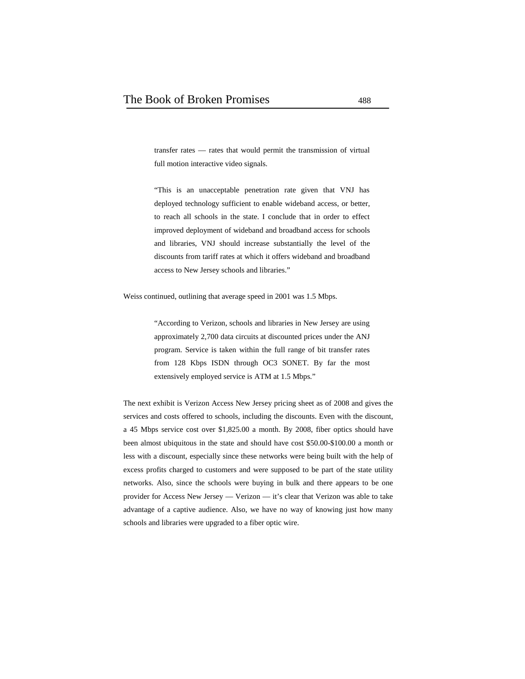transfer rates — rates that would permit the transmission of virtual full motion interactive video signals.

"This is an unacceptable penetration rate given that VNJ has deployed technology sufficient to enable wideband access, or better, to reach all schools in the state. I conclude that in order to effect improved deployment of wideband and broadband access for schools and libraries, VNJ should increase substantially the level of the discounts from tariff rates at which it offers wideband and broadband access to New Jersey schools and libraries."

Weiss continued, outlining that average speed in 2001 was 1.5 Mbps.

"According to Verizon, schools and libraries in New Jersey are using approximately 2,700 data circuits at discounted prices under the ANJ program. Service is taken within the full range of bit transfer rates from 128 Kbps ISDN through OC3 SONET. By far the most extensively employed service is ATM at 1.5 Mbps."

The next exhibit is Verizon Access New Jersey pricing sheet as of 2008 and gives the services and costs offered to schools, including the discounts. Even with the discount, a 45 Mbps service cost over \$1,825.00 a month. By 2008, fiber optics should have been almost ubiquitous in the state and should have cost \$50.00-\$100.00 a month or less with a discount, especially since these networks were being built with the help of excess profits charged to customers and were supposed to be part of the state utility networks. Also, since the schools were buying in bulk and there appears to be one provider for Access New Jersey — Verizon — it's clear that Verizon was able to take advantage of a captive audience. Also, we have no way of knowing just how many schools and libraries were upgraded to a fiber optic wire.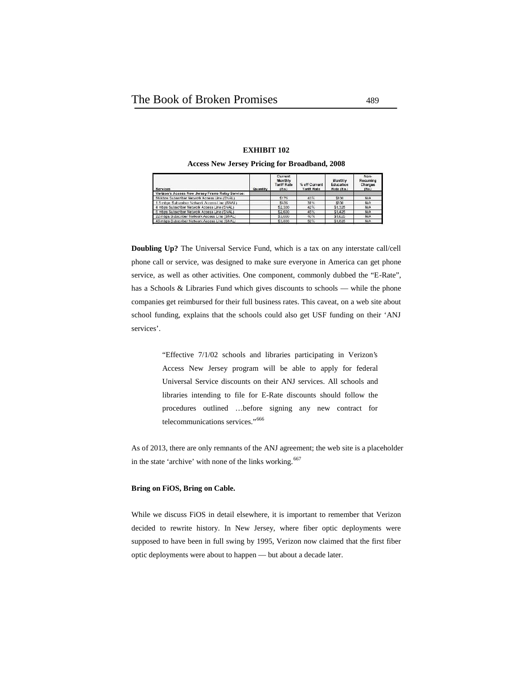| <b>Services</b>                                  | Quantity | <b>Current</b><br>Monthly<br><b>Tariff Rate</b><br>(Ea) | % off Current<br><b>Tariff Rate</b> | Monthly<br>Education<br>Rate (Ea.) | Non-<br>Recurring<br>Charges<br>(En.) |  |
|--------------------------------------------------|----------|---------------------------------------------------------|-------------------------------------|------------------------------------|---------------------------------------|--|
| Verizon's Access New Jersey Frame Relay Service: |          |                                                         |                                     |                                    |                                       |  |
| 56 kbps Subscriber Network Access Line (SNAL)    |          | \$175                                                   | 43%                                 | \$100                              | N/A                                   |  |
| 1.5 mbps Subscriber Network Accuss Line (SNAL).  |          | \$435                                                   | 31%                                 | 3300                               | N/A                                   |  |
| 4 mbps Subscriber Network Access Line (SNAL)     |          | \$2,300                                                 | 42%                                 | \$1,325                            | <b>N/A</b>                            |  |
| 6 mbps Subscriber Network Access Line (SNAL)     |          | \$2,600                                                 | 45%                                 | \$1,425                            | N/A                                   |  |
| 22 mbps Subscriber Network Access Line (SNAL)    |          | \$3,000                                                 | 46%                                 | \$1,625                            | N/A                                   |  |
| 45 mbps Subscriber Network Access Line (SNAL)    |          | \$3,800                                                 | 52%                                 | \$1,825                            | N/A                                   |  |
|                                                  |          |                                                         |                                     |                                    |                                       |  |

**EXHIBIT 102 Access New Jersey Pricing for Broadband, 2008**

**Doubling Up?** The Universal Service Fund, which is a tax on any interstate call/cell phone call or service, was designed to make sure everyone in America can get phone service, as well as other activities. One component, commonly dubbed the "E-Rate", has a Schools & Libraries Fund which gives discounts to schools — while the phone companies get reimbursed for their full business rates. This caveat, on a web site about school funding, explains that the schools could also get USF funding on their 'ANJ services'.

> "Effective 7/1/02 schools and libraries participating in Verizon's Access New Jersey program will be able to apply for federal Universal Service discounts on their ANJ services. All schools and libraries intending to file for E-Rate discounts should follow the procedures outlined …before signing any new contract for telecommunications services."<sup>666</sup>

As of 2013, there are only remnants of the ANJ agreement; the web site is a placeholder in the state 'archive' with none of the links working.<sup>667</sup>

#### **Bring on FiOS, Bring on Cable.**

While we discuss FiOS in detail elsewhere, it is important to remember that Verizon decided to rewrite history. In New Jersey, where fiber optic deployments were supposed to have been in full swing by 1995, Verizon now claimed that the first fiber optic deployments were about to happen — but about a decade later.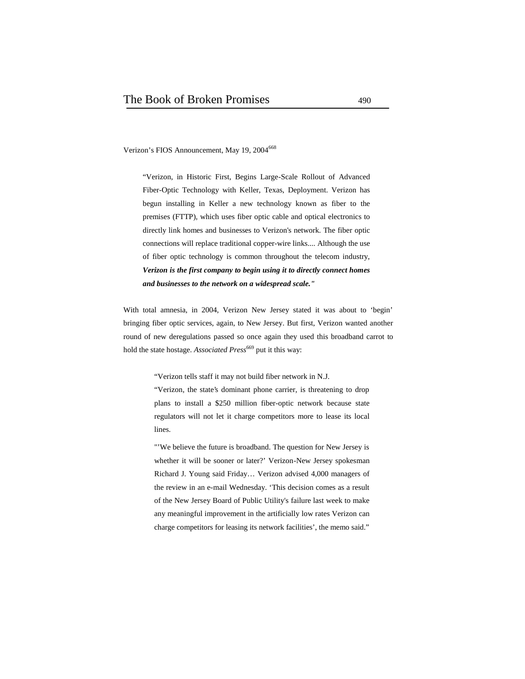Verizon's FIOS Announcement, May 19, 2004<sup>668</sup>

"Verizon, in Historic First, Begins Large-Scale Rollout of Advanced Fiber-Optic Technology with Keller, Texas, Deployment. Verizon has begun installing in Keller a new technology known as fiber to the premises (FTTP), which uses fiber optic cable and optical electronics to directly link homes and businesses to Verizon's network. The fiber optic connections will replace traditional copper-wire links.... Although the use of fiber optic technology is common throughout the telecom industry, *Verizon is the first company to begin using it to directly connect homes and businesses to the network on a widespread scale."*

With total amnesia, in 2004, Verizon New Jersey stated it was about to 'begin' bringing fiber optic services, again, to New Jersey. But first, Verizon wanted another round of new deregulations passed so once again they used this broadband carrot to hold the state hostage. *Associated Press*<sup>669</sup> put it this way:

"Verizon tells staff it may not build fiber network in N.J.

"Verizon, the state's dominant phone carrier, is threatening to drop plans to install a \$250 million fiber-optic network because state regulators will not let it charge competitors more to lease its local lines.

"'We believe the future is broadband. The question for New Jersey is whether it will be sooner or later?' Verizon-New Jersey spokesman Richard J. Young said Friday… Verizon advised 4,000 managers of the review in an e-mail Wednesday. 'This decision comes as a result of the New Jersey Board of Public Utility's failure last week to make any meaningful improvement in the artificially low rates Verizon can charge competitors for leasing its network facilities', the memo said."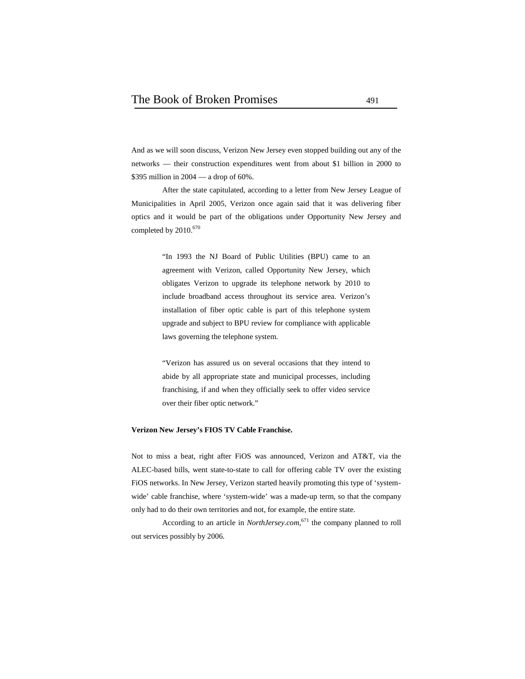And as we will soon discuss, Verizon New Jersey even stopped building out any of the networks — their construction expenditures went from about \$1 billion in 2000 to \$395 million in 2004 — a drop of 60%.

After the state capitulated, according to a letter from New Jersey League of Municipalities in April 2005, Verizon once again said that it was delivering fiber optics and it would be part of the obligations under Opportunity New Jersey and completed by 2010.<sup>670</sup>

> "In 1993 the NJ Board of Public Utilities (BPU) came to an agreement with Verizon, called Opportunity New Jersey, which obligates Verizon to upgrade its telephone network by 2010 to include broadband access throughout its service area. Verizon's installation of fiber optic cable is part of this telephone system upgrade and subject to BPU review for compliance with applicable laws governing the telephone system.

> "Verizon has assured us on several occasions that they intend to abide by all appropriate state and municipal processes, including franchising, if and when they officially seek to offer video service over their fiber optic network."

#### **Verizon New Jersey's FIOS TV Cable Franchise.**

Not to miss a beat, right after FiOS was announced, Verizon and AT&T, via the ALEC-based bills, went state-to-state to call for offering cable TV over the existing FiOS networks. In New Jersey, Verizon started heavily promoting this type of 'system wide' cable franchise, where 'system-wide' was a made-up term, so that the company only had to do their own territories and not, for example, the entire state.

According to an article in *NorthJersey.com*,<sup>671</sup> the company planned to roll out services possibly by 2006.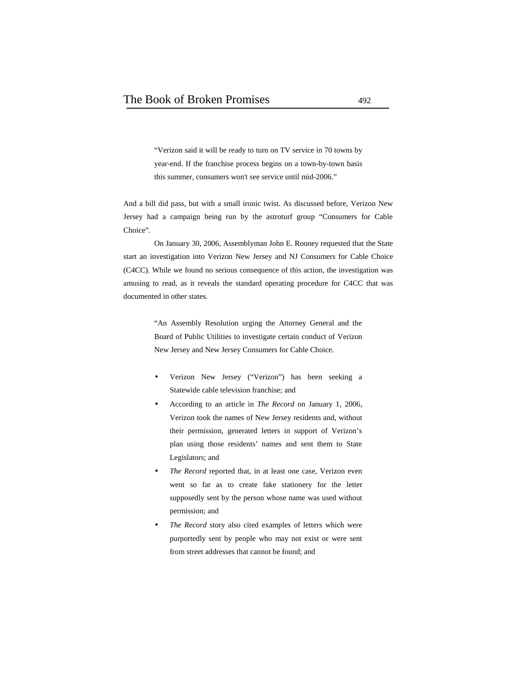"Verizon said it will be ready to turn on TV service in 70 towns by year-end. If the franchise process begins on a town-by-town basis this summer, consumers won't see service until mid-2006."

And a bill did pass, but with a small ironic twist. As discussed before, Verizon New Jersey had a campaign being run by the astroturf group "Consumers for Cable Choice".

On January 30, 2006, Assemblyman John E. Rooney requested that the State start an investigation into Verizon New Jersey and NJ Consumers for Cable Choice (C4CC). While we found no serious consequence of this action, the investigation was amusing to read, as it reveals the standard operating procedure for C4CC that was documented in other states.

> "An Assembly Resolution urging the Attorney General and the Board of Public Utilities to investigate certain conduct of Verizon New Jersey and New Jersey Consumers for Cable Choice.

- Verizon New Jersey ("Verizon") has been seeking a Statewide cable television franchise; and
- According to an article in *The Record* on January 1, 2006, Verizon took the names of New Jersey residents and, without their permission, generated letters in support of Verizon's plan using those residents' names and sent them to State Legislators; and
- *The Record* reported that, in at least one case, Verizon even went so far as to create fake stationery for the letter supposedly sent by the person whose name was used without permission; and
- *The Record* story also cited examples of letters which were purportedly sent by people who may not exist or were sent from street addresses that cannot be found; and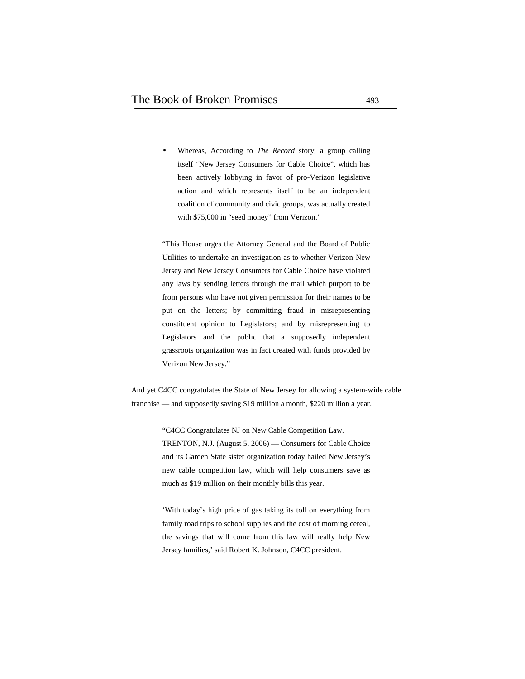Whereas, According to *The Record* story, a group calling itself "New Jersey Consumers for Cable Choice", which has been actively lobbying in favor of pro-Verizon legislative action and which represents itself to be an independent coalition of community and civic groups, was actually created with \$75,000 in "seed money" from Verizon."

"This House urges the Attorney General and the Board of Public Utilities to undertake an investigation as to whether Verizon New Jersey and New Jersey Consumers for Cable Choice have violated any laws by sending letters through the mail which purport to be from persons who have not given permission for their names to be put on the letters; by committing fraud in misrepresenting constituent opinion to Legislators; and by misrepresenting to Legislators and the public that a supposedly independent grassroots organization was in fact created with funds provided by Verizon New Jersey."

And yet C4CC congratulates the State of New Jersey for allowing a system-wide cable franchise — and supposedly saving \$19 million a month, \$220 million a year.

> "C4CC Congratulates NJ on New Cable Competition Law. TRENTON, N.J. (August 5, 2006) — Consumers for Cable Choice and its Garden State sister organization today hailed New Jersey's new cable competition law, which will help consumers save as much as \$19 million on their monthly bills this year.

> 'With today's high price of gas taking its toll on everything from family road trips to school supplies and the cost of morning cereal, the savings that will come from this law will really help New Jersey families,' said Robert K. Johnson, C4CC president.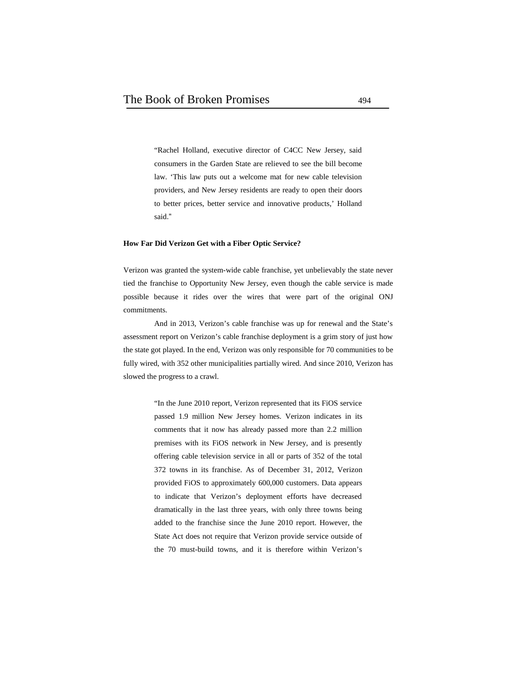"Rachel Holland, executive director of C4CC New Jersey, said consumers in the Garden State are relieved to see the bill become law. 'This law puts out a welcome mat for new cable television providers, and New Jersey residents are ready to open their doors to better prices, better service and innovative products,' Holland said."

#### **How Far Did Verizon Get with a Fiber Optic Service?**

Verizon was granted the system-wide cable franchise, yet unbelievably the state never tied the franchise to Opportunity New Jersey, even though the cable service is made possible because it rides over the wires that were part of the original ONJ commitments.

And in 2013, Verizon's cable franchise was up for renewal and the State's assessment report on Verizon's cable franchise deployment is a grim story of just how the state got played. In the end, Verizon was only responsible for 70 communities to be fully wired, with 352 other municipalities partially wired. And since 2010, Verizon has slowed the progress to a crawl.

> "In the June 2010 report, Verizon represented that its FiOS service passed 1.9 million New Jersey homes. Verizon indicates in its comments that it now has already passed more than 2.2 million premises with its FiOS network in New Jersey, and is presently offering cable television service in all or parts of 352 of the total 372 towns in its franchise. As of December 31, 2012, Verizon provided FiOS to approximately 600,000 customers. Data appears to indicate that Verizon's deployment efforts have decreased dramatically in the last three years, with only three towns being added to the franchise since the June 2010 report. However, the State Act does not require that Verizon provide service outside of the 70 must-build towns, and it is therefore within Verizon's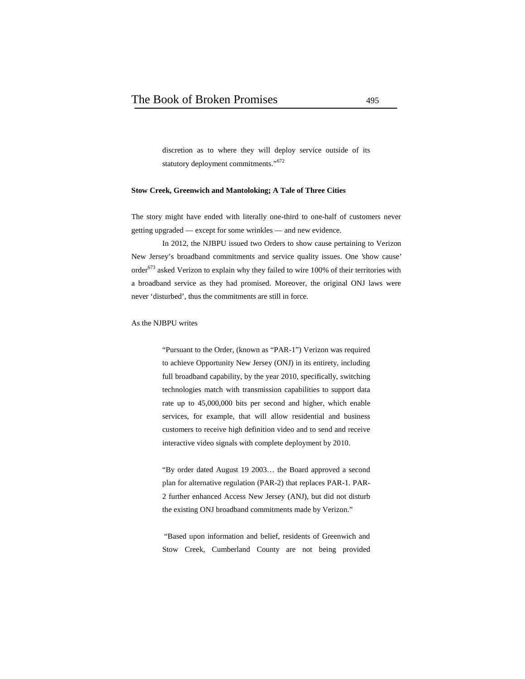discretion as to where they will deploy service outside of its statutory deployment commitments."<sup>672</sup>

#### **Stow Creek, Greenwich and Mantoloking; A Tale of Three Cities**

The story might have ended with literally one-third to one-half of customers never getting upgraded — except for some wrinkles — and new evidence.

In 2012, the NJBPU issued two Orders to show cause pertaining to Verizon New Jersey's broadband commitments and service quality issues. One 'show cause' order $673$  asked Verizon to explain why they failed to wire 100% of their territories with a broadband service as they had promised. Moreover, the original ONJ laws were never 'disturbed', thus the commitments are still in force.

#### As the NJBPU writes

"Pursuant to the Order, (known as "PAR-1") Verizon was required to achieve Opportunity New Jersey (ONJ) in its entirety, including full broadband capability, by the year 2010, specifically, switching technologies match with transmission capabilities to support data rate up to 45,000,000 bits per second and higher, which enable services, for example, that will allow residential and business customers to receive high definition video and to send and receive interactive video signals with complete deployment by 2010.

"By order dated August 19 2003… the Board approved a second plan for alternative regulation (PAR-2) that replaces PAR-1. PAR- 2 further enhanced Access New Jersey (ANJ), but did not disturb the existing ONJ broadband commitments made by Verizon."

 "Based upon information and belief, residents of Greenwich and Stow Creek, Cumberland County are not being provided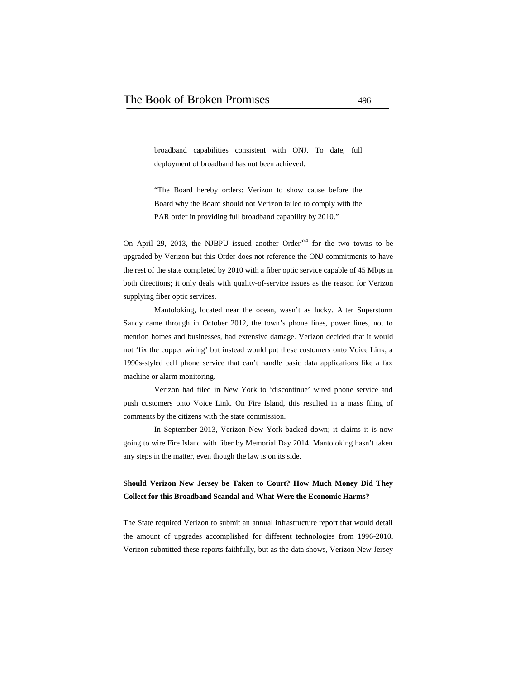broadband capabilities consistent with ONJ. To date, full deployment of broadband has not been achieved.

"The Board hereby orders: Verizon to show cause before the Board why the Board should not Verizon failed to comply with the PAR order in providing full broadband capability by 2010."

On April 29, 2013, the NJBPU issued another Order $674$  for the two towns to be upgraded by Verizon but this Order does not reference the ONJ commitments to have the rest of the state completed by 2010 with a fiber optic service capable of 45 Mbps in both directions; it only deals with quality-of-service issues as the reason for Verizon supplying fiber optic services.

Mantoloking, located near the ocean, wasn't as lucky. After Superstorm Sandy came through in October 2012, the town's phone lines, power lines, not to mention homes and businesses, had extensive damage. Verizon decided that it would not 'fix the copper wiring' but instead would put these customers onto Voice Link, a 1990s-styled cell phone service that can't handle basic data applications like a fax machine or alarm monitoring.

Verizon had filed in New York to 'discontinue' wired phone service and push customers onto Voice Link. On Fire Island, this resulted in a mass filing of comments by the citizens with the state commission.

In September 2013, Verizon New York backed down; it claims it is now going to wire Fire Island with fiber by Memorial Day 2014. Mantoloking hasn't taken any steps in the matter, even though the law is on its side.

## **Should Verizon New Jersey be Taken to Court? How Much Money Did They Collect for this Broadband Scandal and What Were the Economic Harms?**

The State required Verizon to submit an annual infrastructure report that would detail the amount of upgrades accomplished for different technologies from 1996-2010. Verizon submitted these reports faithfully, but as the data shows, Verizon New Jersey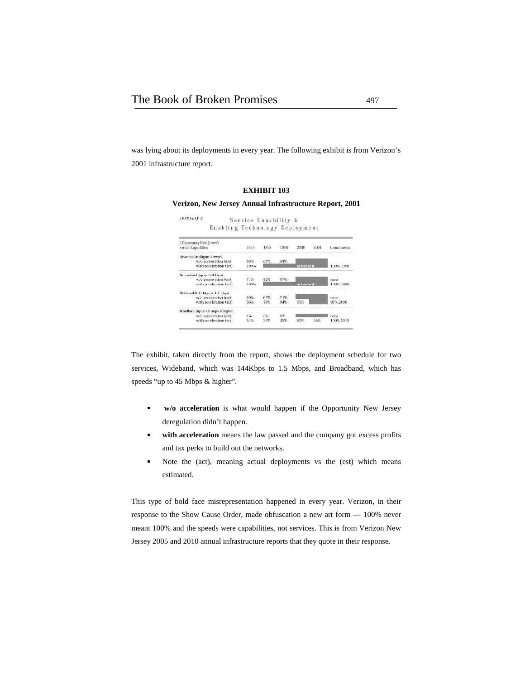was lying about its deployments in every year. The following exhibit is from Verizon's 2001 infrastructure report.

#### **EXHIBIT 103**

#### **Verizon, New Jersey Annual Infrastructure Report, 2001**

| <b>APPENDIX</b>                                    | Service Capability & |      |      |          |           |                  |
|----------------------------------------------------|----------------------|------|------|----------|-----------|------------------|
| Enabling Technology Deployment                     |                      |      |      |          |           |                  |
| L Opportunity New Jersey's<br>Service Capabilities | 1997                 | 1998 | 1999 | 2000     | 2001      | Commitmerts      |
|                                                    |                      |      |      |          |           |                  |
| Advanced Intelligent Network                       |                      |      |      |          |           |                  |
| w/o acceleration (est)                             | 80%                  | 88%  | 94%  |          |           |                  |
| with acceleration (act)                            | 100%                 |      |      | achieved | 100% 1998 |                  |
| Narrowband fup to 144 kbps)                        |                      |      |      |          |           |                  |
| w/o acceleration (est)                             | 74%                  | 82%  | 87%  |          |           | mone             |
| with acceleration (act)                            | 100%                 |      |      | achieved |           | <b>100% 1998</b> |
| Wideband (144 kbps to 1.5 mbps)                    |                      |      |      |          |           |                  |
| w/o acceleration (est)                             | 50%                  | 62%  | 71%  |          |           | none             |
| with acceleration (act)                            | 66%                  | 78%  | 84%  | 95%      |           | 95% 2000         |
| Broadband up to 45 mbps & higher)                  |                      |      |      |          |           |                  |
| w/o acceleration (est)                             | 1%                   | 3%   | 9%   |          |           | none             |
| with acceleration (act)                            | 34%                  | 35%  | 42%  | E2%      | 55%       | 100% 2010        |

The exhibit, taken directly from the report, shows the deployment schedule for two services, Wideband, which was 144Kbps to 1.5 Mbps, and Broadband, which has speeds "up to 45 Mbps & higher".

- $\blacksquare$ **w/o acceleration** is what would happen if the Opportunity New Jersey deregulation didn't happen.
- **with acceleration** means the law passed and the company got excess profits and tax perks to build out the networks.
- Ė Note the (act), meaning actual deployments vs the (est) which means estimated.

This type of bold face misrepresentation happened in every year. Verizon, in their response to the Show Cause Order, made obfuscation a new art form — 100% never meant 100% and the speeds were capabilities, not services. This is from Verizon New Jersey 2005 and 2010 annual infrastructure reports that they quote in their response.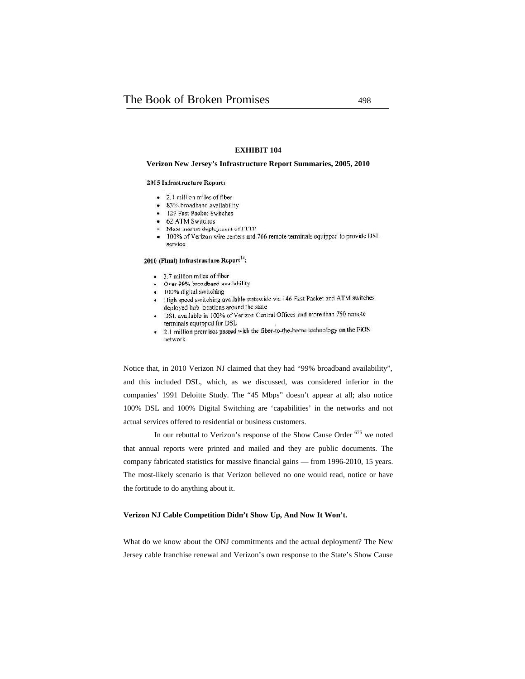#### **EXHIBIT 104**

#### **Verizon New Jersey's Infrastructure Report Summaries, 2005, 2010**

#### 2005 Infrastructure Report:

- 2.1 million miles of fiber
- · 83% broadband availability
- 129 Fast Packet Switches
- 62 ATM Switches
- Mass market deployment of FTTP
- · 100% of Verizon wire centers and 766 remote terminals equipped to provide DSI. service

#### 2010 (Final) Infrastructure Report<sup>14</sup>:

- 3.7 million miles of fiber
- Over 99% broadband availability
- · 100% digital switching
- High speed switching available statewide via 146 Fast Packet and ATM switches deployed hub locations around the state
- . DSL available in 100% of Verizon Central Offices and more than 750 remote terminals equipped for DSL
- 2.1 million premises passed with the fiber-to-the-home technology on the FiOS network

Notice that, in 2010 Verizon NJ claimed that they had "99% broadband availability", and this included DSL, which, as we discussed, was considered inferior in the companies' 1991 Deloitte Study. The "45 Mbps" doesn't appear at all; also notice 100% DSL and 100% Digital Switching are 'capabilities' in the networks and not actual services offered to residential or business customers.

In our rebuttal to Verizon's response of the Show Cause Order <sup>675</sup> we noted that annual reports were printed and mailed and they are public documents. The company fabricated statistics for massive financial gains — from 1996-2010, 15 years. The most-likely scenario is that Verizon believed no one would read, notice or have the fortitude to do anything about it.

#### **Verizon NJ Cable Competition Didn't Show Up, And Now It Won't.**

What do we know about the ONJ commitments and the actual deployment? The New Jersey cable franchise renewal and Verizon's own response to the State's Show Cause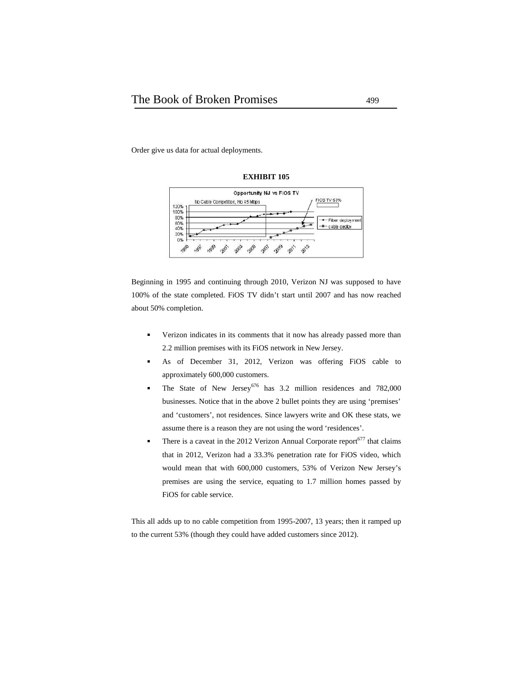Order give us data for actual deployments.



**EXHIBIT 105**

Beginning in 1995 and continuing through 2010, Verizon NJ was supposed to have 100% of the state completed. FiOS TV didn't start until 2007 and has now reached

about 50% completion.

- Verizon indicates in its comments that it now has already passed more than 2.2 million premises with its FiOS network in New Jersey.
- As of December 31, 2012, Verizon was offering FiOS cable to п approximately 600,000 customers.
- The State of New Jersey<sup>676</sup> has  $3.2$  million residences and  $782,000$  $\blacksquare$ businesses. Notice that in the above 2 bullet points they are using 'premises' and 'customers', not residences. Since lawyers write and OK these stats, we assume there is a reason they are not using the word 'residences'.
- There is a caveat in the 2012 Verizon Annual Corporate report $677$  that claims  $\blacksquare$ that in 2012, Verizon had a 33.3% penetration rate for FiOS video, which would mean that with 600,000 customers, 53% of Verizon New Jersey's premises are using the service, equating to 1.7 million homes passed by FiOS for cable service.

This all adds up to no cable competition from 1995-2007, 13 years; then it ramped up to the current 53% (though they could have added customers since 2012).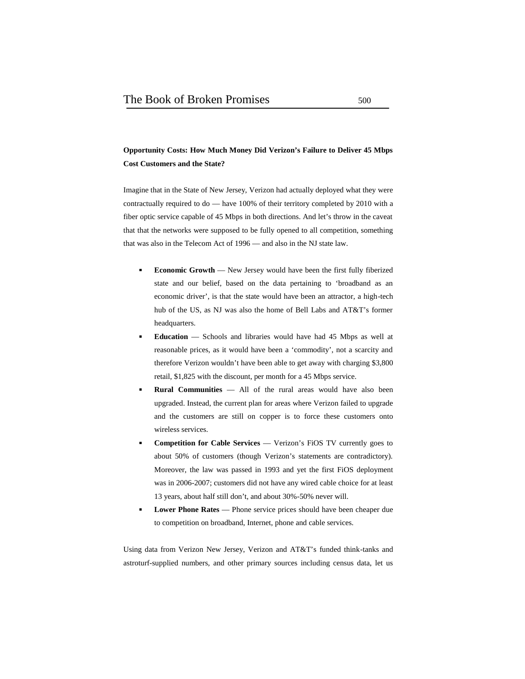## **Opportunity Costs: How Much Money Did Verizon's Failure to Deliver 45 Mbps Cost Customers and the State?**

Imagine that in the State of New Jersey, Verizon had actually deployed what they were contractually required to do — have 100% of their territory completed by 2010 with a fiber optic service capable of 45 Mbps in both directions. And let's throw in the caveat that that the networks were supposed to be fully opened to all competition, something that was also in the Telecom Act of 1996 — and also in the NJ state law.

- **Economic Growth** New Jersey would have been the first fully fiberized state and our belief, based on the data pertaining to 'broadband as an economic driver', is that the state would have been an attractor, a high-tech hub of the US, as NJ was also the home of Bell Labs and AT&T's former headquarters.
- **Education** Schools and libraries would have had 45 Mbps as well at reasonable prices, as it would have been a 'commodity', not a scarcity and therefore Verizon wouldn't have been able to get away with charging \$3,800 retail, \$1,825 with the discount, per month for a 45 Mbps service.
- **Rural Communities** All of the rural areas would have also been upgraded. Instead, the current plan for areas where Verizon failed to upgrade and the customers are still on copper is to force these customers onto wireless services.
- **Competition for Cable Services** Verizon's FiOS TV currently goes to about 50% of customers (though Verizon's statements are contradictory). Moreover, the law was passed in 1993 and yet the first FiOS deployment was in 2006-2007; customers did not have any wired cable choice for at least 13 years, about half still don't, and about 30%-50% never will.
- **Lower Phone Rates** Phone service prices should have been cheaper due to competition on broadband, Internet, phone and cable services.

Using data from Verizon New Jersey, Verizon and AT&T's funded think-tanks and astroturf-supplied numbers, and other primary sources including census data, let us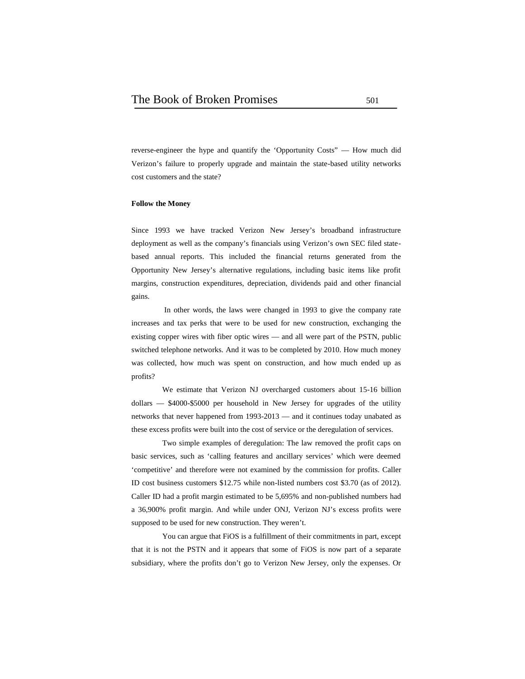reverse-engineer the hype and quantify the 'Opportunity Costs" — How much did Verizon's failure to properly upgrade and maintain the state-based utility networks cost customers and the state?

#### **Follow the Money**

Since 1993 we have tracked Verizon New Jersey's broadband infrastructure deployment as well as the company's financials using Verizon's own SEC filed state based annual reports. This included the financial returns generated from the Opportunity New Jersey's alternative regulations, including basic items like profit margins, construction expenditures, depreciation, dividends paid and other financial gains.

 In other words, the laws were changed in 1993 to give the company rate increases and tax perks that were to be used for new construction, exchanging the existing copper wires with fiber optic wires — and all were part of the PSTN, public switched telephone networks. And it was to be completed by 2010. How much money was collected, how much was spent on construction, and how much ended up as profits?

We estimate that Verizon NJ overcharged customers about 15-16 billion dollars — \$4000-\$5000 per household in New Jersey for upgrades of the utility networks that never happened from 1993-2013 — and it continues today unabated as these excess profits were built into the cost of service or the deregulation of services.

Two simple examples of deregulation: The law removed the profit caps on basic services, such as 'calling features and ancillary services' which were deemed 'competitive' and therefore were not examined by the commission for profits. Caller ID cost business customers \$12.75 while non-listed numbers cost \$3.70 (as of 2012). Caller ID had a profit margin estimated to be 5,695% and non-published numbers had a 36,900% profit margin. And while under ONJ, Verizon NJ's excess profits were supposed to be used for new construction. They weren't.

You can argue that FiOS is a fulfillment of their commitments in part, except that it is not the PSTN and it appears that some of FiOS is now part of a separate subsidiary, where the profits don't go to Verizon New Jersey, only the expenses. Or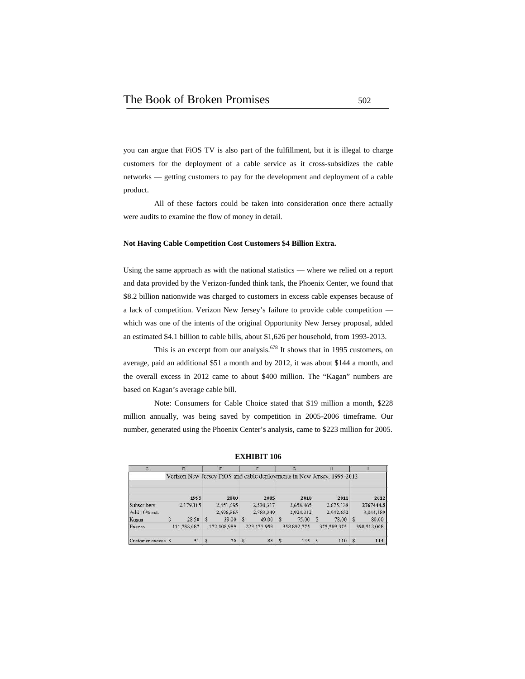you can argue that FiOS TV is also part of the fulfillment, but it is illegal to charge customers for the deployment of a cable service as it cross-subsidizes the cable networks — getting customers to pay for the development and deployment of a cable product.

All of these factors could be taken into consideration once there actually were audits to examine the flow of money in detail.

#### **Not Having Cable Competition Cost Customers \$4 Billion Extra.**

Using the same approach as with the national statistics — where we relied on a report and data provided by the Verizon-funded think tank, the Phoenix Center, we found that \$8.2 billion nationwide was charged to customers in excess cable expenses because of a lack of competition. Verizon New Jersey's failure to provide cable competition which was one of the intents of the original Opportunity New Jersey proposal, added an estimated \$4.1 billion to cable bills, about \$1,626 per household, from 1993-2013.

This is an excerpt from our analysis.<sup>678</sup> It shows that in 1995 customers, on average, paid an additional \$51 a month and by 2012, it was about \$144 a month, and the overall excess in 2012 came to about \$400 million. The "Kagan" numbers are based on Kagan's average cable bill.

Note: Consumers for Cable Choice stated that \$19 million a month, \$228 million annually, was being saved by competition in 2005-2006 timeframe. Our number, generated using the Phoenix Center's analysis, came to \$223 million for 2005.

| $C_{n}$            | D           |               |             |              |             |              | G           |                |                                                                        |              |             |
|--------------------|-------------|---------------|-------------|--------------|-------------|--------------|-------------|----------------|------------------------------------------------------------------------|--------------|-------------|
|                    |             |               |             |              |             |              |             |                | Verizon New Jersey FiOS and cable deployments in New Jersey, 1995-2012 |              |             |
|                    | 1995        |               | 2000        |              | 2005        |              | 2010        |                | 2011                                                                   |              | 2012        |
| Subscribers        | 2.179.105   |               | 2.451.695   |              | 2.530.317   |              | 2.658.465   |                | 2.675.138                                                              |              | 2767444.5   |
| Add 10% sat.       |             |               | 2.696.865   |              | 2.783.349   |              | 2.924.312   |                | 2.942.652                                                              |              | 3.044.189   |
| Kagan              | \$<br>28.50 | - \$          | 39.00       | S.           | 49.00       | $\sim$       | 75.00       | -8             | 78.00                                                                  | Ś.           | 80.00       |
| <b>Excess</b>      | 111.788.087 |               | 172,108,989 |              | 223.173.959 |              | 358.892.775 |                | 375,589,375                                                            |              | 398,512,008 |
| Customer excess \$ | 51          | $\mathcal{R}$ | 70          | $\mathbf{S}$ | 88          | $\mathbf{S}$ | 135         | $\mathbf{v}_i$ | 140                                                                    | $\mathbf{S}$ | 144         |

**EXHIBIT 106**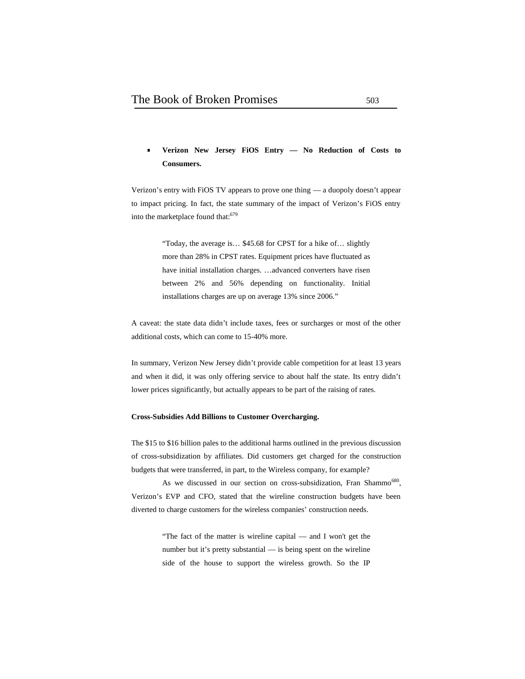# **Verizon New Jersey FiOS Entry — No Reduction of Costs to Consumers.**

Verizon's entry with FiOS TV appears to prove one thing — a duopoly doesn't appear to impact pricing. In fact, the state summary of the impact of Verizon's FiOS entry into the marketplace found that:<sup>679</sup>

> "Today, the average is… \$45.68 for CPST for a hike of… slightly more than 28% in CPST rates. Equipment prices have fluctuated as have initial installation charges. …advanced converters have risen between 2% and 56% depending on functionality. Initial installations charges are up on average 13% since 2006."

A caveat: the state data didn't include taxes, fees or surcharges or most of the other additional costs, which can come to 15-40% more.

In summary, Verizon New Jersey didn't provide cable competition for at least 13 years and when it did, it was only offering service to about half the state. Its entry didn't lower prices significantly, but actually appears to be part of the raising of rates.

#### **Cross-Subsidies Add Billions to Customer Overcharging.**

The \$15 to \$16 billion pales to the additional harms outlined in the previous discussion of cross-subsidization by affiliates. Did customers get charged for the construction budgets that were transferred, in part, to the Wireless company, for example?

As we discussed in our section on cross-subsidization, Fran Shammo<sup>680</sup>, Verizon's EVP and CFO, stated that the wireline construction budgets have been diverted to charge customers for the wireless companies' construction needs.

> "The fact of the matter is wireline capital — and I won't get the number but it's pretty substantial — is being spent on the wireline side of the house to support the wireless growth. So the IP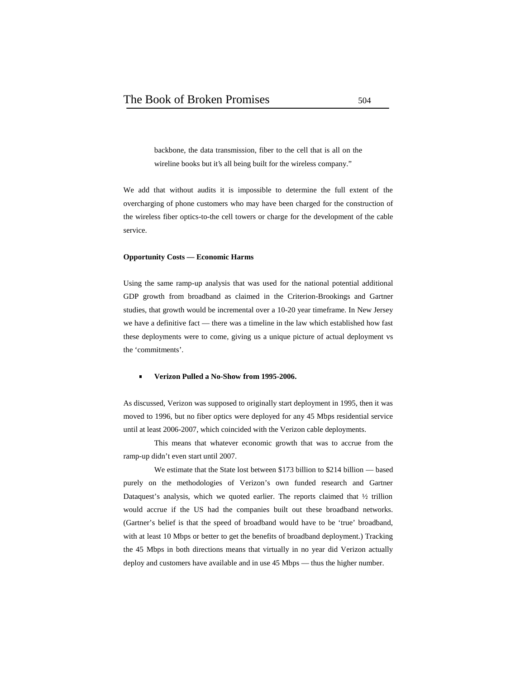backbone, the data transmission, fiber to the cell that is all on the wireline books but it's all being built for the wireless company."

We add that without audits it is impossible to determine the full extent of the overcharging of phone customers who may have been charged for the construction of the wireless fiber optics-to-the cell towers or charge for the development of the cable service.

#### **Opportunity Costs — Economic Harms**

Using the same ramp-up analysis that was used for the national potential additional GDP growth from broadband as claimed in the Criterion-Brookings and Gartner studies, that growth would be incremental over a 10-20 year timeframe. In New Jersey we have a definitive fact — there was a timeline in the law which established how fast these deployments were to come, giving us a unique picture of actual deployment vs the 'commitments'.

#### **Verizon Pulled a No-Show from 1995-2006.**

As discussed, Verizon was supposed to originally start deployment in 1995, then it was moved to 1996, but no fiber optics were deployed for any 45 Mbps residential service until at least 2006-2007, which coincided with the Verizon cable deployments.

This means that whatever economic growth that was to accrue from the ramp-up didn't even start until 2007.

We estimate that the State lost between \$173 billion to \$214 billion — based purely on the methodologies of Verizon's own funded research and Gartner Dataquest's analysis, which we quoted earlier. The reports claimed that ½ trillion would accrue if the US had the companies built out these broadband networks. (Gartner's belief is that the speed of broadband would have to be 'true' broadband, with at least 10 Mbps or better to get the benefits of broadband deployment.) Tracking the 45 Mbps in both directions means that virtually in no year did Verizon actually deploy and customers have available and in use 45 Mbps — thus the higher number.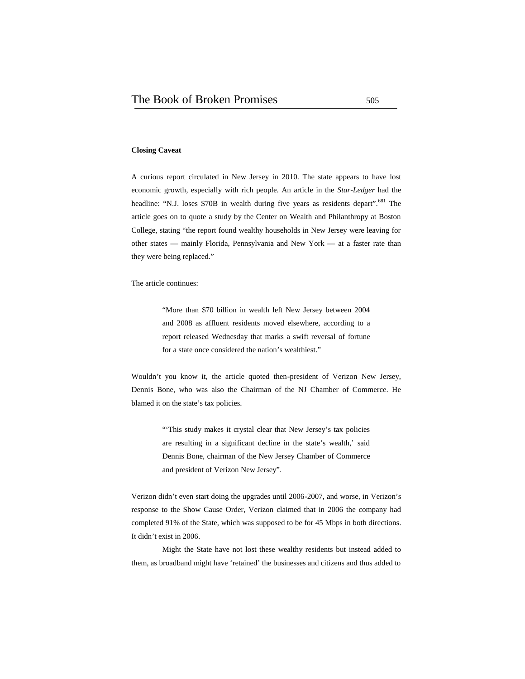#### **Closing Caveat**

A curious report circulated in New Jersey in 2010. The state appears to have lost economic growth, especially with rich people. An article in the *Star-Ledger* had the headline: "N.J. loses \$70B in wealth during five years as residents depart".<sup>681</sup> The article goes on to quote a study by the Center on Wealth and Philanthropy at Boston College, stating "the report found wealthy households in New Jersey were leaving for other states — mainly Florida, Pennsylvania and New York — at a faster rate than they were being replaced."

The article continues:

"More than \$70 billion in wealth left New Jersey between 2004 and 2008 as affluent residents moved elsewhere, according to a report released Wednesday that marks a swift reversal of fortune for a state once considered the nation's wealthiest."

Wouldn't you know it, the article quoted then-president of Verizon New Jersey, Dennis Bone, who was also the Chairman of the NJ Chamber of Commerce. He blamed it on the state's tax policies.

> "This study makes it crystal clear that New Jersey's tax policies are resulting in a significant decline in the state's wealth,' said Dennis Bone, chairman of the New Jersey Chamber of Commerce and president of Verizon New Jersey".

Verizon didn't even start doing the upgrades until 2006-2007, and worse, in Verizon's response to the Show Cause Order, Verizon claimed that in 2006 the company had completed 91% of the State, which was supposed to be for 45 Mbps in both directions. It didn't exist in 2006.

Might the State have not lost these wealthy residents but instead added to them, as broadband might have 'retained' the businesses and citizens and thus added to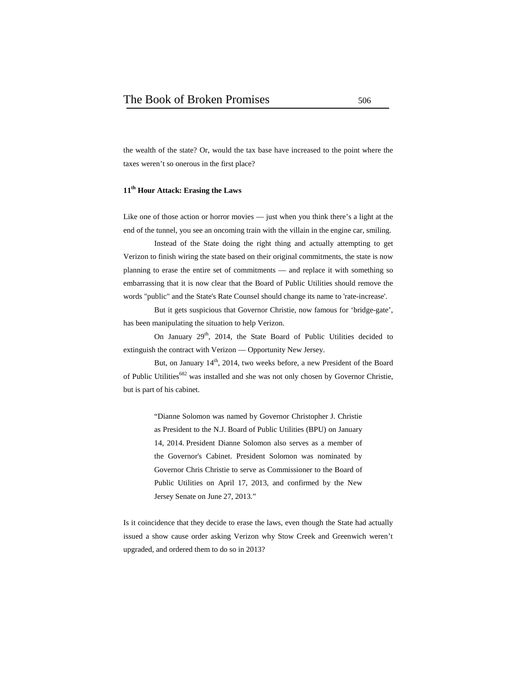the wealth of the state? Or, would the tax base have increased to the point where the taxes weren't so onerous in the first place?

#### **11th Hour Attack: Erasing the Laws**

Like one of those action or horror movies — just when you think there's a light at the end of the tunnel, you see an oncoming train with the villain in the engine car, smiling.

Instead of the State doing the right thing and actually attempting to get Verizon to finish wiring the state based on their original commitments, the state is now planning to erase the entire set of commitments — and replace it with something so embarrassing that it is now clear that the Board of Public Utilities should remove the words "public" and the State's Rate Counsel should change its name to 'rate-increase'.

But it gets suspicious that Governor Christie, now famous for 'bridge-gate', has been manipulating the situation to help Verizon.

On January 29<sup>th</sup>, 2014, the State Board of Public Utilities decided to extinguish the contract with Verizon — Opportunity New Jersey.

But, on January 14<sup>th</sup>, 2014, two weeks before, a new President of the Board of Public Utilities<sup>682</sup> was installed and she was not only chosen by Governor Christie, but is part of his cabinet.

> "Dianne Solomon was named by Governor Christopher J. Christie as President to the N.J. Board of Public Utilities (BPU) on January 14, 2014. President Dianne Solomon also serves as a member of the Governor's Cabinet. President Solomon was nominated by Governor Chris Christie to serve as Commissioner to the Board of Public Utilities on April 17, 2013, and confirmed by the New Jersey Senate on June 27, 2013."

Is it coincidence that they decide to erase the laws, even though the State had actually issued a show cause order asking Verizon why Stow Creek and Greenwich weren't upgraded, and ordered them to do so in 2013?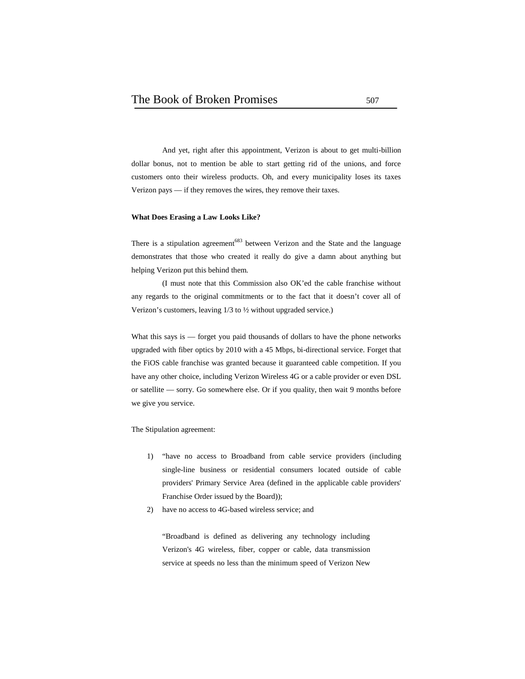And yet, right after this appointment, Verizon is about to get multi-billion dollar bonus, not to mention be able to start getting rid of the unions, and force customers onto their wireless products. Oh, and every municipality loses its taxes Verizon pays — if they removes the wires, they remove their taxes.

#### **What Does Erasing a Law Looks Like?**

There is a stipulation agreement<sup>683</sup> between Verizon and the State and the language demonstrates that those who created it really do give a damn about anything but helping Verizon put this behind them.

(I must note that this Commission also OK'ed the cable franchise without any regards to the original commitments or to the fact that it doesn't cover all of Verizon's customers, leaving 1/3 to ½ without upgraded service.)

What this says is — forget you paid thousands of dollars to have the phone networks upgraded with fiber optics by 2010 with a 45 Mbps, bi-directional service. Forget that the FiOS cable franchise was granted because it guaranteed cable competition. If you have any other choice, including Verizon Wireless 4G or a cable provider or even DSL or satellite — sorry. Go somewhere else. Or if you quality, then wait 9 months before we give you service.

The Stipulation agreement:

- 1) "have no access to Broadband from cable service providers (including single-line business or residential consumers located outside of cable providers' Primary Service Area (defined in the applicable cable providers' Franchise Order issued by the Board));
- 2) have no access to 4G-based wireless service; and

"Broadband is defined as delivering any technology including Verizon's 4G wireless, fiber, copper or cable, data transmission service at speeds no less than the minimum speed of Verizon New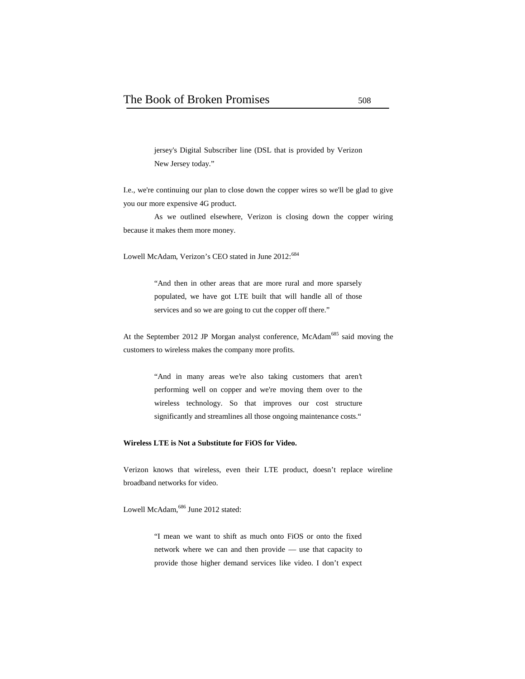jersey's Digital Subscriber line (DSL that is provided by Verizon New Jersey today."

I.e., we're continuing our plan to close down the copper wires so we'll be glad to give you our more expensive 4G product.

As we outlined elsewhere, Verizon is closing down the copper wiring because it makes them more money.

Lowell McAdam, Verizon's CEO stated in June 2012:<sup>684</sup>

"And then in other areas that are more rural and more sparsely populated, we have got LTE built that will handle all of those services and so we are going to cut the copper off there."

At the September 2012 JP Morgan analyst conference, McAdam<sup>685</sup> said moving the customers to wireless makes the company more profits.

> "And in many areas we're also taking customers that aren't performing well on copper and we're moving them over to the wireless technology. So that improves our cost structure significantly and streamlines all those ongoing maintenance costs."

#### **Wireless LTE is Not a Substitute for FiOS for Video.**

Verizon knows that wireless, even their LTE product, doesn't replace wireline broadband networks for video.

Lowell McAdam,<sup>686</sup> June 2012 stated:

"I mean we want to shift as much onto FiOS or onto the fixed network where we can and then provide — use that capacity to provide those higher demand services like video. I don't expect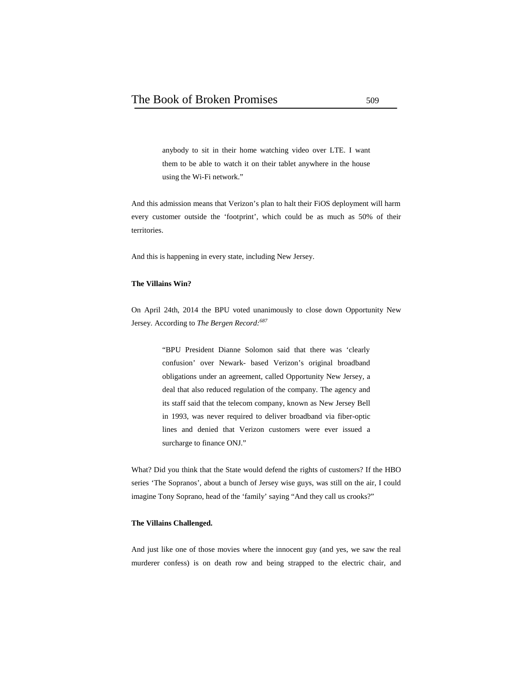anybody to sit in their home watching video over LTE. I want them to be able to watch it on their tablet anywhere in the house using the Wi-Fi network."

And this admission means that Verizon's plan to halt their FiOS deployment will harm every customer outside the 'footprint', which could be as much as 50% of their territories.

And this is happening in every state, including New Jersey.

## **The Villains Win?**

On April 24th, 2014 the BPU voted unanimously to close down Opportunity New Jersey. According to *The Bergen Record:<sup>687</sup>*

> "BPU President Dianne Solomon said that there was 'clearly confusion' over Newark- based Verizon's original broadband obligations under an agreement, called Opportunity New Jersey, a deal that also reduced regulation of the company. The agency and its staff said that the telecom company, known as New Jersey Bell in 1993, was never required to deliver broadband via fiber-optic lines and denied that Verizon customers were ever issued a surcharge to finance ONJ."

What? Did you think that the State would defend the rights of customers? If the HBO series 'The Sopranos', about a bunch of Jersey wise guys, was still on the air, I could imagine Tony Soprano, head of the 'family' saying "And they call us crooks?"

#### **The Villains Challenged.**

And just like one of those movies where the innocent guy (and yes, we saw the real murderer confess) is on death row and being strapped to the electric chair, and